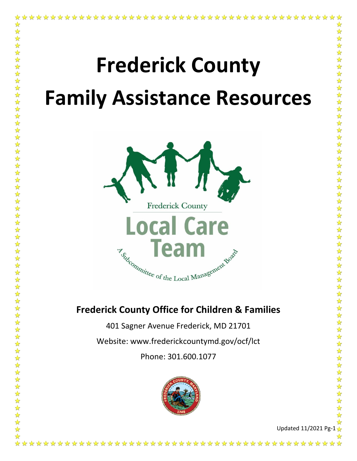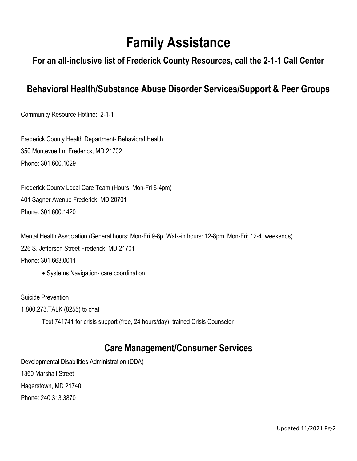# **Family Assistance**

### **For an all-inclusive list of Frederick County Resources, call the 2-1-1 Call Center**

#### **Behavioral Health/Substance Abuse Disorder Services/Support & Peer Groups**

Community Resource Hotline: 2-1-1

Frederick County Health Department- Behavioral Health 350 Montevue Ln, Frederick, MD 21702 [Phone:](https://www.google.com/search?site=async/lcl_akp&q=frederick+county+health+department+phone&ludocid=11856623963305109735&sa=X&ved=2ahUKEwjCkNaxtOrdAhVpRN8KHfZ0AdAQ6BMwBnoECAEQPQ) [301.600.1029](https://www.google.com/search?tbm=lcl&ei=Vce0W-uxBI2O5wKiwYGoBA&q=frederick+county+health+department&oq=frederick+county+health+department&gs_l=psy-ab.3..35i39k1l2j0l8.252851.260065.0.260248.32.25.6.0.0.0.161.2372.16j9.25.0....0...1.1.64.psy-ab..1.31.2418...0i67k1j0i20i263i264k1j0i20i264k1j0i131k1j0i131i67k1j0i20i263k1j33i160k1j0i13k1j0i13i30k1j0i8i13i30k1j0i22i30k1j35i304i39k1.0.FBnDEYIQnAg)

Frederick County Local Care Team (Hours: Mon-Fri 8-4pm) 401 Sagner Avenue Frederick, MD 20701 Phone: 301.600.1420

Mental Health Association (General hours: Mon-Fri 9-8p; Walk-in hours: 12-8pm, Mon-Fri; 12-4, weekends) 226 S. Jefferson Street Frederick, MD 21701 [Phone:](https://www.google.com/search?site=async/lcl_akp&q=mental+health+management+agency+phone&ludocid=12490626085144174066&sa=X&ved=2ahUKEwiE8oi9tOrdAhVjh-AKHdLDDXYQ6BMwBXoECAEQLw) [301.6](https://www.google.com/search?tbm=lcl&ei=Wsi0W6-qE82L5wLBpYXoBQ&q=mental+health+management+agency&oq=mental+health&gs_l=psy-ab.3.0.35i39k1l2j0i20i263i264k1j0i67k1j0i131i67k1j0i67k1j0i131i67k1l2j0i131k1j0.20820.21857.0.22956.13.11.0.0.0.0.160.1159.5j6.11.0....0...1.1.64.psy-ab..2.11.1156...0i20i264k1j0i10i67k1.0.-_fiSunvPBQ)63.0011

• Systems Navigation- care coordination

Suicide Prevention 1.800.273.TALK (8255) to chat Text 741741 for crisis support (free, 24 hours/day); trained Crisis Counselor

#### **Care Management/Consumer Services**

Developmental Disabilities Administration (DDA) 1360 Marshall Street Hagerstown, MD 21740 Phone: 240.313.3870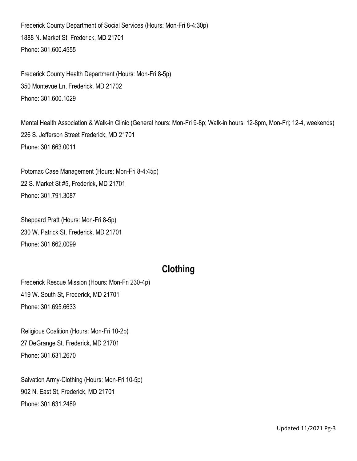Frederick County Department of Social Services (Hours: Mon-Fri 8-4:30p) 1888 N. Market St, Frederick, MD 21701 [Phone:](https://www.google.com/search?site=async/lcl_akp&q=frederick+county+department+of+social+services+phone&ludocid=15178908026755231975&sa=X&ved=2ahUKEwioz5jtr-rdAhWwhOAKHfxtAewQ6BMwBnoECAEQPQ) [301.600.4555](https://www.google.com/search?ei=dMO0W9KNHoGt5wKEn7OIDQ&q=department%20of%20social%20services&oq=department+of+social+services&gs_l=psy-ab.3..0i20i264l2j0l8.21969.31003..31165...7.0..0.113.2528.37j1......0....1..gws-wiz.......35i39j0i67j0i131j0i131i20i264j0i131i67j0i10.flr5Spaow40&npsic=0&rflfq=1&rlha=0&rllag=39427548,-77399953,1909&tbm=lcl&rldimm=15178908026755231975&ved=2ahUKEwikhtfqr-rdAhVrtlkKHbTZC_UQvS4wAnoECAAQIQ&rldoc=1&tbs=lrf:!2m1!1e2!2m1!1e3!3sIAE,lf:1,lf_ui:2)

Frederick County Health Department (Hours: Mon-Fri 8-5p) 350 Montevue Ln, Frederick, MD 21702 [Phone:](https://www.google.com/search?site=async/lcl_akp&q=frederick+county+health+department+phone&ludocid=11856623963305109735&sa=X&ved=2ahUKEwjCkNaxtOrdAhVpRN8KHfZ0AdAQ6BMwBnoECAEQPQ) [301.600.1029](https://www.google.com/search?tbm=lcl&ei=Vce0W-uxBI2O5wKiwYGoBA&q=frederick+county+health+department&oq=frederick+county+health+department&gs_l=psy-ab.3..35i39k1l2j0l8.252851.260065.0.260248.32.25.6.0.0.0.161.2372.16j9.25.0....0...1.1.64.psy-ab..1.31.2418...0i67k1j0i20i263i264k1j0i20i264k1j0i131k1j0i131i67k1j0i20i263k1j33i160k1j0i13k1j0i13i30k1j0i8i13i30k1j0i22i30k1j35i304i39k1.0.FBnDEYIQnAg)

Mental Health Association & Walk-in Clinic (General hours: Mon-Fri 9-8p; Walk-in hours: 12-8pm, Mon-Fri; 12-4, weekends) 226 S. Jefferson Street Frederick, MD 21701 [Phone:](https://www.google.com/search?site=async/lcl_akp&q=mental+health+management+agency+phone&ludocid=12490626085144174066&sa=X&ved=2ahUKEwiE8oi9tOrdAhVjh-AKHdLDDXYQ6BMwBXoECAEQLw) [301.6](https://www.google.com/search?tbm=lcl&ei=Wsi0W6-qE82L5wLBpYXoBQ&q=mental+health+management+agency&oq=mental+health&gs_l=psy-ab.3.0.35i39k1l2j0i20i263i264k1j0i67k1j0i131i67k1j0i67k1j0i131i67k1l2j0i131k1j0.20820.21857.0.22956.13.11.0.0.0.0.160.1159.5j6.11.0....0...1.1.64.psy-ab..2.11.1156...0i20i264k1j0i10i67k1.0.-_fiSunvPBQ)63.0011

Potomac Case Management (Hours: Mon-Fri 8-4:45p) 22 S. Market St #5, Frederick, MD 21701 [Phone:](https://www.google.com/search?site=async/lcl_akp&q=mental+health+management+agency+phone&ludocid=12490626085144174066&sa=X&ved=2ahUKEwiE8oi9tOrdAhVjh-AKHdLDDXYQ6BMwBXoECAEQLw) [301.791.3087](https://www.google.com/search?tbm=lcl&ei=Wsi0W6-qE82L5wLBpYXoBQ&q=mental+health+management+agency&oq=mental+health&gs_l=psy-ab.3.0.35i39k1l2j0i20i263i264k1j0i67k1j0i131i67k1j0i67k1j0i131i67k1l2j0i131k1j0.20820.21857.0.22956.13.11.0.0.0.0.160.1159.5j6.11.0....0...1.1.64.psy-ab..2.11.1156...0i20i264k1j0i10i67k1.0.-_fiSunvPBQ)

Sheppard Pratt (Hours: Mon-Fri 8-5p) 230 W. Patrick St, Frederick, MD 21701 [Phone:](https://www.google.com/search?site=async/lcl_akp&q=way+station+inc+phone&ludocid=15536188269660015553&sa=X&ved=2ahUKEwiUxuWQterdAhWrV98KHWQkCyEQ6BMwBnoECAEQOw) [301.662.0099](https://www.google.com/search?tbm=lcl&ei=h8i0W6SoBqfs5gLg8YnYDQ&q=way+station+frederick%2C+md&oq=way+station+frederick%2C+md&gs_l=psy-ab.3...150886.152806.0.152989.17.10.0.0.0.0.122.198.1j1.2.0....0...1.1.64.psy-ab..17.0.0....0.aupKpQ8xoOc)

# **Clothing**

Frederick Rescue Mission (Hours: Mon-Fri 230-4p) 419 W. South St, Frederick, MD 21701 [Phone:](https://www.google.com/search?site=async/lcl_akp&q=frederick+rescue+mission+phone&ludocid=10045683785866325008&sa=X&ved=2ahUKEwiB9f2vterdAhVLTd8KHRrlBVIQ6BMwBnoECAEQPA) [301.695.6633](https://www.google.com/search?tbm=lcl&ei=Icm0W5T-OaXc5gKXybS4CA&q=rescue+missionfrederick%2C+md&oq=rescue+missionfrederick%2C+md&gs_l=psy-ab.3..0i7i30k1j0i8i7i30k1.61807.64359.0.64550.16.15.1.0.0.0.119.1473.8j7.15.0....0...1.1.64.psy-ab..3.12.1098...0i13k1j0i13i5i30k1j0i7i5i30k1j0i5i30k1.0.POYQDKP48C8)

Religious Coalition (Hours: Mon-Fri 10-2p) 27 DeGrange St, Frederick, MD 21701 [Phone:](https://www.google.com/search?site=async/lcl_akp&q=religious+coalition+for+emergency+human+needs+phone&ludocid=8172747279908443292&sa=X&ved=2ahUKEwjw7M_ZterdAhVtRN8KHbRCD6kQ6BMwBnoECAEQPQ) [301.631.2670](https://www.google.com/search?tbm=lcl&ei=Y8m0W6DSFM2K5wLnqK64DA&q=religious+coalitition+frederick%2C+md&oq=religious+coalitition+frederick%2C+md&gs_l=psy-ab.3..0i13k1.50964.86113.0.86313.36.27.1.0.0.0.134.2195.23j4.27.0....0...1.1.64.psy-ab..14.22.1702...0j0i7i30k1j0i8i7i30k1j0i67k1j0i131i20i264k1j0i20i264k1j0i8i13i30k1.0.ydVECb1AH0I)

Salvation Army-Clothing (Hours: Mon-Fri 10-5p) 902 N. East St, Frederick, MD 21701 [Phone:](https://www.google.com/search?site=async/lcl_akp&q=salvation+army+family+store+and+donation+center+monocacy+village+shopping+center+phone&ludocid=10531009436639637166&sa=X&ved=2ahUKEwjQ8uLqterdAhXilOAKHR3ZDt4Q6BMwBnoECAEQPQ) [301.631.2489](https://www.google.com/search?tbm=lcl&ei=usm0W476HYzs5gLJ3bS4Cw&q=salvation+army+frederick%2C+md&oq=salvation+army+frederick%2C+md&gs_l=psy-ab.3..0j0i7i30k1l9.16574.18963.0.19175.18.16.2.0.0.0.132.1400.11j5.16.0....0...1.1.64.psy-ab..1.16.1222...38j0i7i10i30k1j0i13i30k1j0i7i5i30k1j0i8i7i30k1j0i8i30k1j0i13k1.0.V3b6CHs7SwI)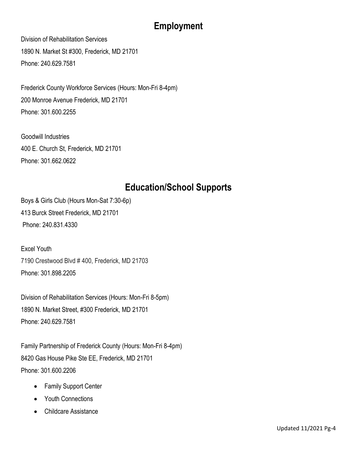# **Employment**

Division of Rehabilitation Services 1890 N. Market St #300, Frederick, MD 21701 [Phone:](https://www.google.com/search?site=async/lcl_akp&q=division+of+rehabilitation+services+dors+phone&ludocid=8115736631402863246&sa=X&ved=2ahUKEwjy4fOvturdAhVGneAKHXYuAj0Q6BMwBnoECAEQNA) [240.629.7581](https://www.google.com/search?tbm=lcl&ei=zsm0W4zjKuuN5wLs4KaICw&q=division+of+rehabilitation+services+frederick+md&oq=division+of+reh+frederick%2C+md&gs_l=psy-ab.3.0.0i7i30k1.156042.158598.0.160132.19.15.2.0.0.0.125.1211.12j3.15.0....0...1.1.64.psy-ab..5.12.857...38j0i8i7i30k1j0i13i5i30k1j0i8i13i30k1j0i5i30k1j0i7i5i30k1j0i8i30k1.0.reDy69atfdM)

Frederick County Workforce Services (Hours: Mon-Fri 8-4pm) 200 Monroe Avenue Frederick, MD 21701 Phone: 301.600.2255

Goodwill Industries 400 E. Church St, Frederick, MD 21701 [Phone:](https://www.google.com/search?site=async/lcl_akp&q=goodwill+industries+of+monocacy+valley+corporate+office+phone&ludocid=2491830386816240454&sa=X&ved=2ahUKEwigpeW8turdAhUmSN8KHQPhDQMQ6BMwB3oECAEQPw) [301.662.0622](https://www.google.com/search?tbm=lcl&ei=b8q0W5rII-ug5wK-qIugDg&q=goodwill+services+frederick+md&oq=goodwill+services+frederick+md&gs_l=psy-ab.3...18363.22659.0.23373.23.16.7.0.0.0.147.1360.12j4.16.0....0...1.1.64.psy-ab..4.0.0....0.qh7Wy6rrP08)

### **Education/School Supports**

Boys & Girls Club (Hours Mon-Sat 7:30-6p) 413 Burck Street Frederick, MD 21701 Phone[: 240.831.4330](https://www.google.com/search?q=boys+and+girls+club+frederick%2C+DM&rlz=1C1GCEA_enUS913US913&oq=boys+and+girls+club+frederick%2C+DM&aqs=chrome..69i57.6868j0j7&sourceid=chrome&ie=UTF-8)

Excel Youth 7190 Crestwood Blvd # 400, Frederick, MD 21703 Phone: 301.898.2205

Division of Rehabilitation Services (Hours: Mon-Fri 8-5pm) 1890 N. Market Street, #300 Frederick, MD 21701 Phone: 240.629.7581

Family Partnership of Frederick County (Hours: Mon-Fri 8-4pm) 8420 Gas House Pike Ste EE, Frederick, MD 21701 [Phone:](https://www.google.com/search?site=async/lcl_akp&q=frederick+family+partnership+phone&ludocid=1290349160216019624&sa=X&ved=2ahUKEwjv0ob6t-rdAhUOh-AKHa80CKMQ6BMwBXoECAEQNg) [301.600.2206](https://www.google.com/search?tbm=lcl&ei=Dcy0W6b5HPGH5wLKj6voDQ&q=family+partnership&oq=family+partnership&gs_l=psy-ab.3..0l2j0i20i263i264k1j0l7.1694.4940.0.5537.17.16.0.0.0.0.176.1317.12j3.15.0....0...1.1.64.psy-ab..5.12.1075...0i7i30k1j0i13k1j0i8i7i30k1j0i13i30k1j0i13i5i30k1j0i8i30k1j0i8i13i30k1j0i30k1.0.5pUUWwyECiM)

- Family Support Center
- Youth Connections
- Childcare Assistance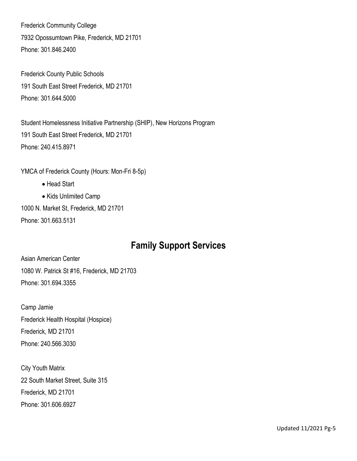Frederick Community College 7932 Opossumtown Pike, Frederick, MD 21701 Phone: 301.846.2400

Frederick County Public Schools 191 South East Street Frederick, MD 21701 Phone: 301.644.5000

Student Homelessness Initiative Partnership (SHIP), New Horizons Program 191 South East Street Frederick, MD 21701 Phone: 240.415.8971

YMCA of Frederick County (Hours: Mon-Fri 8-5p)

- Head Start
- Kids Unlimited Camp

1000 N. Market St, Frederick, MD 21701 [Phone:](https://www.google.com/search?q=ymca+of+frederick+county+md+phone&ludocid=7500740255900383792&sa=X&ved=2ahUKEwicmMDduOrdAhWkpFkKHVUdDtsQ6BMwFXoECAgQRg) [301.663.5131](https://www.google.com/search?q=YMCA+frederick%2C+MD&oq=YMCA+frederick%2C+MD&aqs=chrome..69i57j0l5.5261j0j4&sourceid=chrome&ie=UTF-8)

#### **Family Support Services**

Asian American Center 1080 W. Patrick St #16, Frederick, MD 21703 [Phone:](https://www.google.com/search?q=asian+american+center+of+frederick+phone&ludocid=7488776172886476823&sa=X&ved=2ahUKEwju567EuurdAhXJzlkKHS5rA_IQ6BMwFXoECAcQSA) [301.694.3355](https://www.google.com/search?ei=6cy0W9z_BqTJ5gLVurjYDQ&q=asian+american+center+frederick%2C+MD&oq=asian+american+center+frederick%2C+MD&gs_l=psy-ab.3..0.478106.482266..483121...0.0..0.127.1639.24j1......0....1..gws-wiz.......38j0i71j0i7i30j0i30j0i7i5i30j0i7i10i30j0i8i7i30j0i8i10i30j0i8i30j0i13.I2j41PYcG24)

Camp Jamie Frederick Health Hospital (Hospice) Frederick, MD 21701 Phone: 240.566.3030

City Youth Matrix 22 South Market Street, Suite 315 Frederick, MD 21701 Phone: 301.606.6927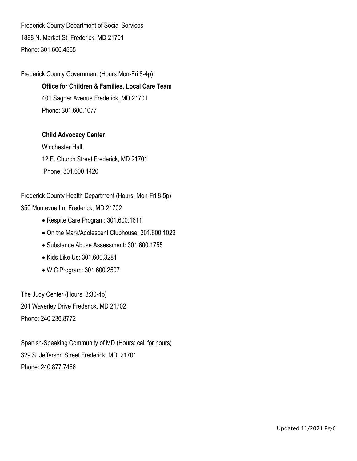Frederick County Department of Social Services 1888 N. Market St, Frederick, MD 21701 [Phone:](https://www.google.com/search?site=async/lcl_akp&q=frederick+county+department+of+social+services+phone&ludocid=15178908026755231975&sa=X&ved=2ahUKEwioz5jtr-rdAhWwhOAKHfxtAewQ6BMwBnoECAEQPQ) [301.600.4555](https://www.google.com/search?ei=dMO0W9KNHoGt5wKEn7OIDQ&q=department%20of%20social%20services&oq=department+of+social+services&gs_l=psy-ab.3..0i20i264l2j0l8.21969.31003..31165...7.0..0.113.2528.37j1......0....1..gws-wiz.......35i39j0i67j0i131j0i131i20i264j0i131i67j0i10.flr5Spaow40&npsic=0&rflfq=1&rlha=0&rllag=39427548,-77399953,1909&tbm=lcl&rldimm=15178908026755231975&ved=2ahUKEwikhtfqr-rdAhVrtlkKHbTZC_UQvS4wAnoECAAQIQ&rldoc=1&tbs=lrf:!2m1!1e2!2m1!1e3!3sIAE,lf:1,lf_ui:2)

Frederick County Government (Hours Mon-Fri 8-4p):

**Office for Children & Families, Local Care Team** 401 Sagner Avenue Frederick, MD 21701 Phone: 301.600.1077

#### **Child Advocacy Center**

Winchester Hall 12 E. Church Street Frederick, MD 21701 Phone: 301.600.1420

Frederick County Health Department (Hours: Mon-Fri 8-5p) 350 Montevue Ln, Frederick, MD 21702

- Respite Care Program: [301.600.16](https://www.google.com/search?tbm=lcl&ei=Vce0W-uxBI2O5wKiwYGoBA&q=frederick+county+health+department&oq=frederick+county+health+department&gs_l=psy-ab.3..35i39k1l2j0l8.252851.260065.0.260248.32.25.6.0.0.0.161.2372.16j9.25.0....0...1.1.64.psy-ab..1.31.2418...0i67k1j0i20i263i264k1j0i20i264k1j0i131k1j0i131i67k1j0i20i263k1j33i160k1j0i13k1j0i13i30k1j0i8i13i30k1j0i22i30k1j35i304i39k1.0.FBnDEYIQnAg)11
- On the Mark/Adolescent Clubhouse: 301.600.1029
- Substance Abuse Assessment: 301.600.1755
- Kids Like Us: 301.600.3281
- WIC Program: 301.600.2507

The Judy Center (Hours: 8:30-4p) 201 Waverley Drive Frederick, MD 21702 Phone: 240.236.8772

Spanish-Speaking Community of MD (Hours: call for hours) 329 S. Jefferson Street Frederick, MD, 21701 Phone: 240.877.7466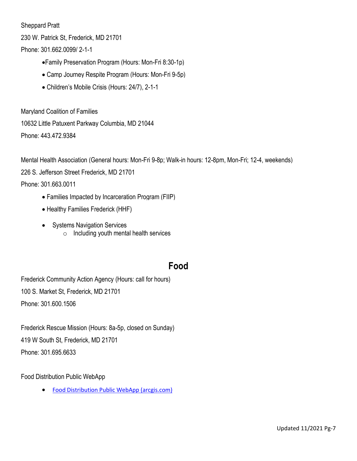Sheppard Pratt

230 W. Patrick St, Frederick, MD 21701

[Phone:](https://www.google.com/search?site=async/lcl_akp&q=way+station+inc+phone&ludocid=15536188269660015553&sa=X&ved=2ahUKEwiUxuWQterdAhWrV98KHWQkCyEQ6BMwBnoECAEQOw) [301.662.0099/](https://www.google.com/search?tbm=lcl&ei=h8i0W6SoBqfs5gLg8YnYDQ&q=way+station+frederick%2C+md&oq=way+station+frederick%2C+md&gs_l=psy-ab.3...150886.152806.0.152989.17.10.0.0.0.0.122.198.1j1.2.0....0...1.1.64.psy-ab..17.0.0....0.aupKpQ8xoOc) 2-1-1

- Family Preservation Program (Hours: Mon-Fri 8:30-1p)
- Camp Journey Respite Program (Hours: Mon-Fri 9-5p)
- Children's Mobile Crisis (Hours: 24/7), 2-1-1

Maryland Coalition of Families 10632 Little Patuxent Parkway Columbia, MD 21044 Phone: 443.472.9384

Mental Health Association (General hours: Mon-Fri 9-8p; Walk-in hours: 12-8pm, Mon-Fri; 12-4, weekends)

226 S. Jefferson Street Frederick, MD 21701

[Phone:](https://www.google.com/search?site=async/lcl_akp&q=mental+health+management+agency+phone&ludocid=12490626085144174066&sa=X&ved=2ahUKEwiE8oi9tOrdAhVjh-AKHdLDDXYQ6BMwBXoECAEQLw) [301.6](https://www.google.com/search?tbm=lcl&ei=Wsi0W6-qE82L5wLBpYXoBQ&q=mental+health+management+agency&oq=mental+health&gs_l=psy-ab.3.0.35i39k1l2j0i20i263i264k1j0i67k1j0i131i67k1j0i67k1j0i131i67k1l2j0i131k1j0.20820.21857.0.22956.13.11.0.0.0.0.160.1159.5j6.11.0....0...1.1.64.psy-ab..2.11.1156...0i20i264k1j0i10i67k1.0.-_fiSunvPBQ)63.0011

- Families Impacted by Incarceration Program (FIIP)
- Healthy Families Frederick (HHF)
- Systems Navigation Services  $\circ$  Including youth mental health services

#### **Food**

Frederick Community Action Agency (Hours: call for hours) 100 S. Market St, Frederick, MD 21701 Phone: [301.600.1506](https://www.google.com/search?ei=ps-0W8ERptvmAqPXu6gD&q=Frederick+Community+Action+Agency&oq=Frederick+Community+Action+Agency&gs_l=psy-ab.3..0l3j0i22i30l5j38.68737.70013..70204...1.0..0.62.122.2......0....1j2..gws-wiz.......0i71.SDqIxBN4hMo)

Frederick Rescue Mission (Hours: 8a-5p, closed on Sunday) 419 W South St, Frederick, MD 21701 Phone: [301.695.6633](https://www.google.com/search?q=frederick+rescue+mission&rlz=1C1GCEA_enUS913US913&oq=frederick+rescue+mission&aqs=chrome..69i57j46i175i199i512j0i512l2.3430j0j7&sourceid=chrome&ie=UTF-8)

Food Distribution Public WebApp

[Food Distribution Public WebApp \(arcgis.com\)](https://fcgmd.maps.arcgis.com/apps/webappviewer/index.html?id=d666d90246c1495392d777191934707e)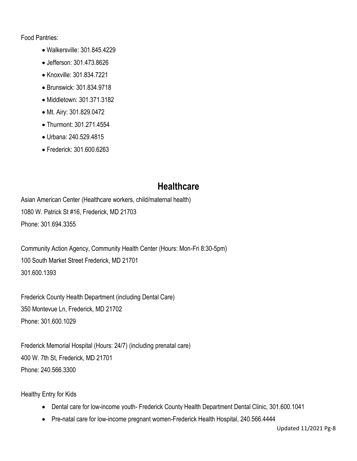Food Pantries:

- Walkersville: 301.845.4229
- Jefferson: 301.473.8626
- Knoxville: 301.834.7221
- Brunswick: 301.834.9718
- Middletown: 301.371.3182
- Mt. Airy: 301.829.0472
- Thurmont: 301.271.4554
- Urbana: 240.529.4815
- Frederick: 301.600.6263

#### **Healthcare**

Asian American Center (Healthcare workers, child/maternal health) 1080 W. Patrick St #16, Frederick, MD 21703 [Phone:](https://www.google.com/search?q=asian+american+center+of+frederick+phone&ludocid=7488776172886476823&sa=X&ved=2ahUKEwju567EuurdAhXJzlkKHS5rA_IQ6BMwFXoECAcQSA) [301.694.3355](https://www.google.com/search?ei=6cy0W9z_BqTJ5gLVurjYDQ&q=asian+american+center+frederick%2C+MD&oq=asian+american+center+frederick%2C+MD&gs_l=psy-ab.3..0.478106.482266..483121...0.0..0.127.1639.24j1......0....1..gws-wiz.......38j0i71j0i7i30j0i30j0i7i5i30j0i7i10i30j0i8i7i30j0i8i10i30j0i8i30j0i13.I2j41PYcG24)

Community Action Agency, Community Health Center (Hours: Mon-Fri 8:30-5pm) 100 South Market Street Frederick, MD 21701 301.600.1393

Frederick County Health Department (including Dental Care) 350 Montevue Ln, Frederick, MD 21702 [Phone:](https://www.google.com/search?site=async/lcl_akp&q=frederick+county+health+department+phone&ludocid=11856623963305109735&sa=X&ved=2ahUKEwjCkNaxtOrdAhVpRN8KHfZ0AdAQ6BMwBnoECAEQPQ) [301.600.1029](https://www.google.com/search?tbm=lcl&ei=Vce0W-uxBI2O5wKiwYGoBA&q=frederick+county+health+department&oq=frederick+county+health+department&gs_l=psy-ab.3..35i39k1l2j0l8.252851.260065.0.260248.32.25.6.0.0.0.161.2372.16j9.25.0....0...1.1.64.psy-ab..1.31.2418...0i67k1j0i20i263i264k1j0i20i264k1j0i131k1j0i131i67k1j0i20i263k1j33i160k1j0i13k1j0i13i30k1j0i8i13i30k1j0i22i30k1j35i304i39k1.0.FBnDEYIQnAg)

Frederick Memorial Hospital (Hours: 24/7) (including prenatal care) 400 W. 7th St, Frederick, MD 21701 Phone: 240.566.3300

Healthy Entry for Kids

- Dental care for low-income youth- Frederick County Health Department Dental Clinic, 301.600.1041
- Pre-natal care for low-income pregnant women-Frederick Health Hospital, 240.566.4444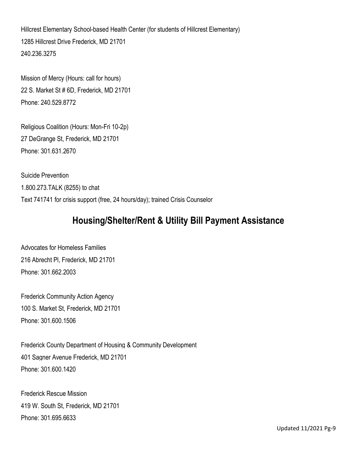Hillcrest Elementary School-based Health Center (for students of Hillcrest Elementary) 1285 Hillcrest Drive Frederick, MD 21701 240.236.3275

Mission of Mercy (Hours: call for hours) 22 S. Market St # 6D, Frederick, MD 21701 [Phone:](https://www.google.com/search?site=async/lcl_akp&q=mission+of+mercy+frederick+phone&ludocid=16666960913332686691&sa=X&ved=2ahUKEwik2aGAvOrdAhVJPN8KHQ3ICkYQ6BMwBnoECAEQPQ) 240.529.8772

Religious Coalition (Hours: Mon-Fri 10-2p) 27 DeGrange St, Frederick, MD 21701 [Phone:](https://www.google.com/search?site=async/lcl_akp&q=religious+coalition+for+emergency+human+needs+phone&ludocid=8172747279908443292&sa=X&ved=2ahUKEwjopIuIvOrdAhWDc98KHR_nDncQ6BMwBnoECAEQPQ) [301.631.2670](https://www.google.com/search?tbm=lcl&ei=VtC0W-qHIOSN5wLi4KSAAw&q=religious+coalition+frederick%2C+md&oq=religiou&gs_l=psy-ab.3.0.35i39k1j0i20i264k1j0i67k1l2j0i131i67k1j0i131k1j0i67k1j0i131k1j0i67k1j0i131k1.13763.14478.0.15626.8.8.0.0.0.0.130.666.7j1.8.0....0...1.1.64.psy-ab..0.8.665...0j0i131i20i264k1.0.Sk4gVtMUX8k)

Suicide Prevention 1.800.273.TALK (8255) to chat Text 741741 for crisis support (free, 24 hours/day); trained Crisis Counselor

#### **Housing/Shelter/Rent & Utility Bill Payment Assistance**

Advocates for Homeless Families 216 Abrecht Pl, Frederick, MD 21701 [Phone:](https://www.google.com/search?q=advocates+for+the+homeless+inc+phone&ludocid=11621646209411458022&sa=X&ved=2ahUKEwjSl6Hbr-rdAhWB1lkKHYTPDNEQ6BMwEXoECAsQPw) [301.662.2003](https://www.google.com/search?ei=lL-0W6fdNKSE5wKvpIPoBg&q=advocates+for+homeless+families&oq=advocates+for+&gs_l=psy-ab.3.0.0i20i264l2j0i131j0l7.987112.988986..990689...0.0..0.93.859.14......0....1..gws-wiz.......0i71j35i39j0i67j0i131i20i264j0i131i67.pGS1Sn2X3NE)

Frederick Community Action Agency 100 S. Market St, Frederick, MD 21701 [Phone:](https://www.google.com/search?q=frederick+community+action+agency+phone&ludocid=16805482727758756931&sa=X&ved=2ahUKEwjJgs3Nu-rdAhVMw1kKHbsBBmQQ6BMwEnoECAoQSA) [301.600.1506](https://www.google.com/search?ei=ps-0W8ERptvmAqPXu6gD&q=Frederick+Community+Action+Agency&oq=Frederick+Community+Action+Agency&gs_l=psy-ab.3..0l3j0i22i30l5j38.68737.70013..70204...1.0..0.62.122.2......0....1j2..gws-wiz.......0i71.SDqIxBN4hMo)

Frederick County Department of Housing & Community Development 401 Sagner Avenue Frederick, MD 21701 Phone: 301.600.1420

Frederick Rescue Mission 419 W. South St, Frederick, MD 21701 [Phone:](https://www.google.com/search?site=async/lcl_akp&q=frederick+rescue+mission+phone&ludocid=10045683785866325008&sa=X&ved=2ahUKEwiB9f2vterdAhVLTd8KHRrlBVIQ6BMwBnoECAEQPA) [301.695.6633](https://www.google.com/search?tbm=lcl&ei=Icm0W5T-OaXc5gKXybS4CA&q=rescue+missionfrederick%2C+md&oq=rescue+missionfrederick%2C+md&gs_l=psy-ab.3..0i7i30k1j0i8i7i30k1.61807.64359.0.64550.16.15.1.0.0.0.119.1473.8j7.15.0....0...1.1.64.psy-ab..3.12.1098...0i13k1j0i13i5i30k1j0i7i5i30k1j0i5i30k1.0.POYQDKP48C8)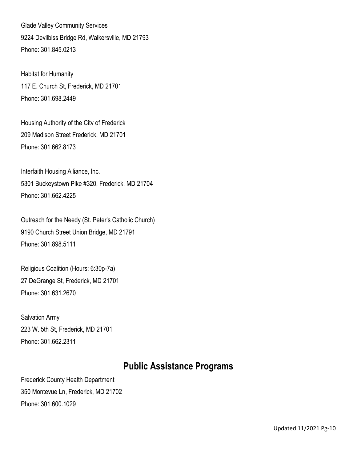Glade Valley Community Services 9224 Devilbiss Bridge Rd, Walkersville, MD 21793 [Phone:](https://www.google.com/search?site=async/lcl_akp&q=glade+valley+community+services+inc+phone&ludocid=3906704391182816101&sa=X&ved=2ahUKEwjXpc21vOrdAhXEMd8KHdSZD8EQ6BMwBXoECAEQNg) [301.845.0213](https://www.google.com/search?tbm=lcl&ei=ZtC0W_-pNPKO5wLAxInQDQ&q=Glade+Valley+Community+Services&oq=Glade+Valley+Community+Services&gs_l=psy-ab.3..0j38.94229.94229.0.94557.1.1.0.0.0.0.75.75.1.1.0....0...1.1.64.psy-ab..0.1.74....0.tvBq6kEGgWM)

Habitat for Humanity 117 E. Church St, Frederick, MD 21701 [Phone:](https://www.google.com/search?site=async/lcl_akp&q=habitat+for+humanity+frederick+phone&ludocid=15929746338960167944&sa=X&ved=2ahUKEwiK4cPBvOrdAhWtd98KHTJ9DYwQ6BMwBnoECAEQPQ) [301.698.2449](https://www.google.com/search?tbm=lcl&ei=xtC0W8mACcGO5wKFjrfYBw&q=habitat+for+humanity&oq=habitat+for+humanity&gs_l=psy-ab.3..0i20i263i264k1j0i131i67k1j0l8.16007.21863.0.22004.38.26.7.0.0.0.504.2979.10j6j1j2j0j1.21.0....0...1.1.64.psy-ab..11.27.2584.6..35i39k1j0i131k1j0i67k1j0i20i264k1j0i131i20i264k1j0i10k1j0i131i10k1.67.I8ESuYG_R4A)

Housing Authority of the City of Frederick 209 Madison Street Frederick, MD 21701 Phone: 301.662.8173

Interfaith Housing Alliance, Inc. 5301 Buckeystown Pike #320, Frederick, MD 21704 [Phone:](https://www.google.com/search?site=async/lcl_akp&q=interfaith+housing+alliance+phone&ludocid=10054039132751906000&sa=X&ved=2ahUKEwi_s7jNvOrdAhVyZN8KHR4dDCwQ6BMwBnoECAEQPQ) [301.662.4225](https://www.google.com/search?tbm=lcl&ei=3dC0W9xjrt_mArHtvNgO&q=Interfaith+Housing+Alliance%2C+Inc.&oq=Interfaith+Housing+Alliance%2C+Inc.&gs_l=psy-ab.3..0i22i30k1.25938.25938.0.26293.1.1.0.0.0.0.80.80.1.1.0....0...1.1.64.psy-ab..0.1.80....0.SSKm00Vd5sI)

Outreach for the Needy (St. Peter's Catholic Church) 9190 Church Street Union Bridge, MD 21791 Phone: 301.898.5111

Religious Coalition (Hours: 6:30p-7a) 27 DeGrange St, Frederick, MD 21701 [Phone:](https://www.google.com/search?site=async/lcl_akp&q=religious+coalition+for+emergency+human+needs+phone&ludocid=8172747279908443292&sa=X&ved=2ahUKEwjopIuIvOrdAhWDc98KHR_nDncQ6BMwBnoECAEQPQ) [301.631.2670](https://www.google.com/search?tbm=lcl&ei=VtC0W-qHIOSN5wLi4KSAAw&q=religious+coalition+frederick%2C+md&oq=religiou&gs_l=psy-ab.3.0.35i39k1j0i20i264k1j0i67k1l2j0i131i67k1j0i131k1j0i67k1j0i131k1j0i67k1j0i131k1.13763.14478.0.15626.8.8.0.0.0.0.130.666.7j1.8.0....0...1.1.64.psy-ab..0.8.665...0j0i131i20i264k1.0.Sk4gVtMUX8k)

Salvation Army 223 W. 5th St, Frederick, MD 21701 Phone: [301.662.2311](https://www.google.com/search?tbm=lcl&ei=usm0W476HYzs5gLJ3bS4Cw&q=salvation+army+frederick%2C+md&oq=salvation+army+frederick%2C+md&gs_l=psy-ab.3..0j0i7i30k1l9.16574.18963.0.19175.18.16.2.0.0.0.132.1400.11j5.16.0....0...1.1.64.psy-ab..1.16.1222...38j0i7i10i30k1j0i13i30k1j0i7i5i30k1j0i8i7i30k1j0i8i30k1j0i13k1.0.V3b6CHs7SwI)

#### **Public Assistance Programs**

Frederick County Health Department 350 Montevue Ln, Frederick, MD 21702 [Phone:](https://www.google.com/search?site=async/lcl_akp&q=frederick+county+health+department+phone&ludocid=11856623963305109735&sa=X&ved=2ahUKEwjCkNaxtOrdAhVpRN8KHfZ0AdAQ6BMwBnoECAEQPQ) [301.600.1029](https://www.google.com/search?tbm=lcl&ei=Vce0W-uxBI2O5wKiwYGoBA&q=frederick+county+health+department&oq=frederick+county+health+department&gs_l=psy-ab.3..35i39k1l2j0l8.252851.260065.0.260248.32.25.6.0.0.0.161.2372.16j9.25.0....0...1.1.64.psy-ab..1.31.2418...0i67k1j0i20i263i264k1j0i20i264k1j0i131k1j0i131i67k1j0i20i263k1j33i160k1j0i13k1j0i13i30k1j0i8i13i30k1j0i22i30k1j35i304i39k1.0.FBnDEYIQnAg)